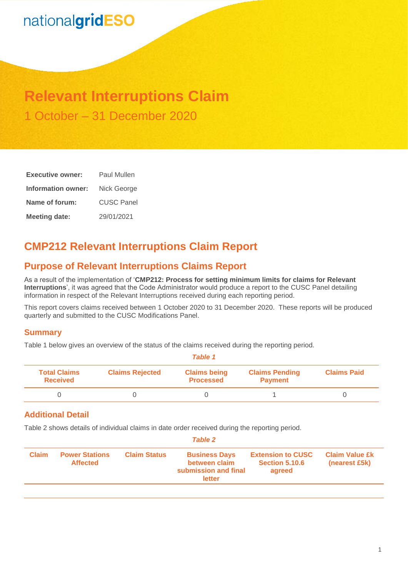# nationalgridESO

## **Relevant Interruptions Claim** 1 October – 31 December 2020

| <b>Executive owner:</b> | Paul Mullen       |  |  |
|-------------------------|-------------------|--|--|
| Information owner:      | Nick George       |  |  |
| Name of forum:          | <b>CUSC Panel</b> |  |  |
| <b>Meeting date:</b>    | 29/01/2021        |  |  |

## **CMP212 Relevant Interruptions Claim Report**

## **Purpose of Relevant Interruptions Claims Report**

As a result of the implementation of '**CMP212: Process for setting minimum limits for claims for Relevant Interruptions**', it was agreed that the Code Administrator would produce a report to the CUSC Panel detailing information in respect of the Relevant Interruptions received during each reporting period.

This report covers claims received between 1 October 2020 to 31 December 2020. These reports will be produced quarterly and submitted to the CUSC Modifications Panel.

#### **Summary**

Table 1 below gives an overview of the status of the claims received during the reporting period.

|                                        |                        | Table 1                                 |                                         |                    |
|----------------------------------------|------------------------|-----------------------------------------|-----------------------------------------|--------------------|
| <b>Total Claims</b><br><b>Received</b> | <b>Claims Rejected</b> | <b>Claims being</b><br><b>Processed</b> | <b>Claims Pending</b><br><b>Payment</b> | <b>Claims Paid</b> |
|                                        |                        |                                         |                                         |                    |

### **Additional Detail**

Table 2 shows details of individual claims in date order received during the reporting period.

| <b>Claim Status</b><br><b>Power Stations</b><br><b>Business Days</b><br><b>Extension to CUSC</b><br><b>Claim</b><br><b>Section 5.10.6</b><br>between claim<br><b>Affected</b><br>submission and final<br>agreed |  | <b>Table 2</b> |                                        |
|-----------------------------------------------------------------------------------------------------------------------------------------------------------------------------------------------------------------|--|----------------|----------------------------------------|
|                                                                                                                                                                                                                 |  | letter         | <b>Claim Value £k</b><br>(nearest £5k) |